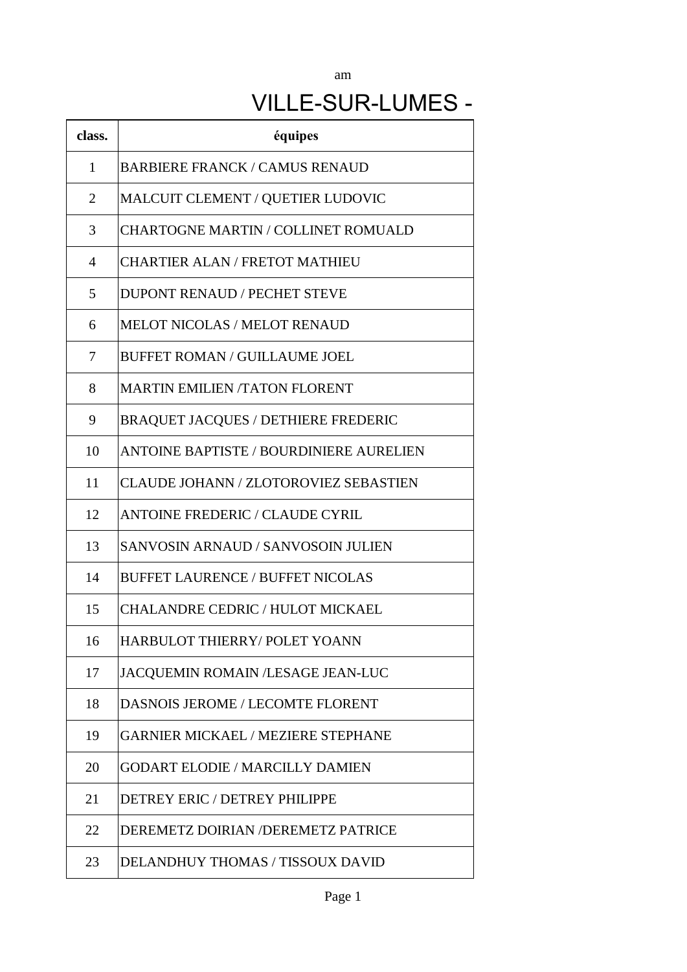## am

## VILLE-SUR-LUMES -

| class.         | équipes                                        |
|----------------|------------------------------------------------|
| $\mathbf{1}$   | <b>BARBIERE FRANCK / CAMUS RENAUD</b>          |
| $\overline{2}$ | MALCUIT CLEMENT / QUETIER LUDOVIC              |
| 3              | <b>CHARTOGNE MARTIN / COLLINET ROMUALD</b>     |
| $\overline{4}$ | <b>CHARTIER ALAN / FRETOT MATHIEU</b>          |
| 5              | <b>DUPONT RENAUD / PECHET STEVE</b>            |
| 6              | <b>MELOT NICOLAS / MELOT RENAUD</b>            |
| 7              | <b>BUFFET ROMAN / GUILLAUME JOEL</b>           |
| 8              | <b>MARTIN EMILIEN/TATON FLORENT</b>            |
| 9              | <b>BRAQUET JACQUES / DETHIERE FREDERIC</b>     |
| 10             | <b>ANTOINE BAPTISTE / BOURDINIERE AURELIEN</b> |
| 11             | <b>CLAUDE JOHANN / ZLOTOROVIEZ SEBASTIEN</b>   |
| 12             | <b>ANTOINE FREDERIC / CLAUDE CYRIL</b>         |
| 13             | <b>SANVOSIN ARNAUD / SANVOSOIN JULIEN</b>      |
| 14             | <b>BUFFET LAURENCE / BUFFET NICOLAS</b>        |
| 15             | <b>CHALANDRE CEDRIC / HULOT MICKAEL</b>        |
| 16             | HARBULOT THIERRY/ POLET YOANN                  |
| 17             | JACQUEMIN ROMAIN /LESAGE JEAN-LUC              |
| 18             | <b>DASNOIS JEROME / LECOMTE FLORENT</b>        |
| 19             | <b>GARNIER MICKAEL / MEZIERE STEPHANE</b>      |
| 20             | <b>GODART ELODIE / MARCILLY DAMIEN</b>         |
| 21             | <b>DETREY ERIC / DETREY PHILIPPE</b>           |
| 22             | DEREMETZ DOIRIAN /DEREMETZ PATRICE             |
| 23             | DELANDHUY THOMAS / TISSOUX DAVID               |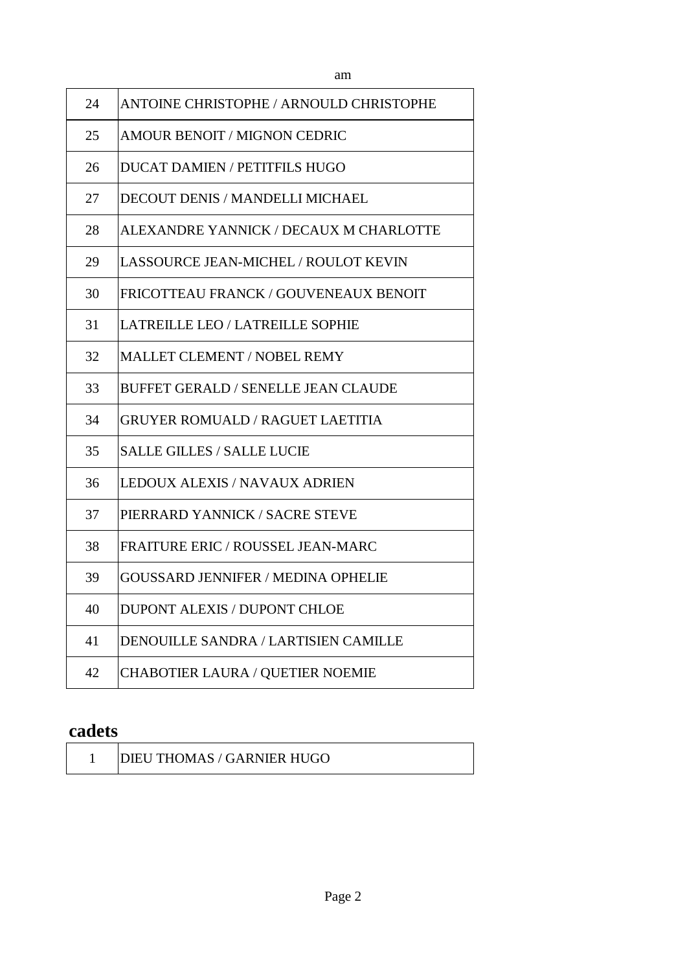| 24 | ANTOINE CHRISTOPHE / ARNOULD CHRISTOPHE    |
|----|--------------------------------------------|
| 25 | <b>AMOUR BENOIT / MIGNON CEDRIC</b>        |
| 26 | <b>DUCAT DAMIEN / PETITFILS HUGO</b>       |
| 27 | DECOUT DENIS / MANDELLI MICHAEL            |
| 28 | ALEXANDRE YANNICK / DECAUX M CHARLOTTE     |
| 29 | LASSOURCE JEAN-MICHEL / ROULOT KEVIN       |
| 30 | FRICOTTEAU FRANCK / GOUVENEAUX BENOIT      |
| 31 | LATREILLE LEO / LATREILLE SOPHIE           |
| 32 | MALLET CLEMENT / NOBEL REMY                |
| 33 | <b>BUFFET GERALD / SENELLE JEAN CLAUDE</b> |
| 34 | <b>GRUYER ROMUALD / RAGUET LAETITIA</b>    |
| 35 | <b>SALLE GILLES / SALLE LUCIE</b>          |
| 36 | LEDOUX ALEXIS / NAVAUX ADRIEN              |
| 37 | PIERRARD YANNICK / SACRE STEVE             |
| 38 | FRAITURE ERIC / ROUSSEL JEAN-MARC          |
| 39 | GOUSSARD JENNIFER / MEDINA OPHELIE         |
| 40 | <b>DUPONT ALEXIS / DUPONT CHLOE</b>        |
| 41 | DENOUILLE SANDRA / LARTISIEN CAMILLE       |
| 42 | <b>CHABOTIER LAURA / QUETIER NOEMIE</b>    |
|    |                                            |

## **cadets**

DIEU THOMAS / GARNIER HUGO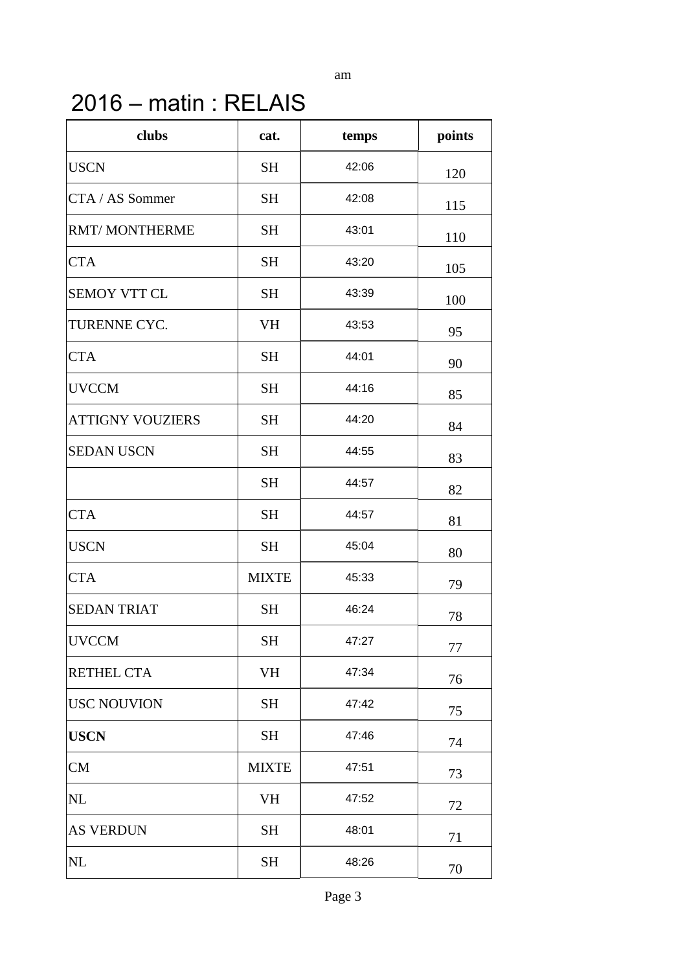am

## $2016 - \text{matin}$ : RELAIS

| clubs                   | cat.         | temps | points |
|-------------------------|--------------|-------|--------|
| <b>USCN</b>             | <b>SH</b>    | 42:06 | 120    |
| CTA / AS Sommer         | <b>SH</b>    | 42:08 | 115    |
| RMT/MONTHERME           | <b>SH</b>    | 43:01 | 110    |
| <b>CTA</b>              | <b>SH</b>    | 43:20 | 105    |
| <b>SEMOY VTT CL</b>     | <b>SH</b>    | 43:39 | 100    |
| TURENNE CYC.            | VH           | 43:53 | 95     |
| <b>CTA</b>              | <b>SH</b>    | 44:01 | 90     |
| <b>UVCCM</b>            | <b>SH</b>    | 44:16 | 85     |
| <b>ATTIGNY VOUZIERS</b> | <b>SH</b>    | 44:20 | 84     |
| <b>SEDAN USCN</b>       | <b>SH</b>    | 44:55 | 83     |
|                         | <b>SH</b>    | 44:57 | 82     |
| <b>CTA</b>              | <b>SH</b>    | 44:57 | 81     |
| <b>USCN</b>             | <b>SH</b>    | 45:04 | 80     |
| <b>CTA</b>              | <b>MIXTE</b> | 45:33 | 79     |
| <b>SEDAN TRIAT</b>      | <b>SH</b>    | 46:24 | 78     |
| <b>UVCCM</b>            | <b>SH</b>    | 47:27 | 77     |
| RETHEL CTA              | VH           | 47:34 | 76     |
| <b>USC NOUVION</b>      | SH           | 47:42 | 75     |
| <b>USCN</b>             | <b>SH</b>    | 47:46 | 74     |
| <b>CM</b>               | <b>MIXTE</b> | 47:51 | 73     |
| NL                      | VH           | 47:52 | 72     |
| <b>AS VERDUN</b>        | SH           | 48:01 | 71     |
| NL                      | <b>SH</b>    | 48:26 | 70     |